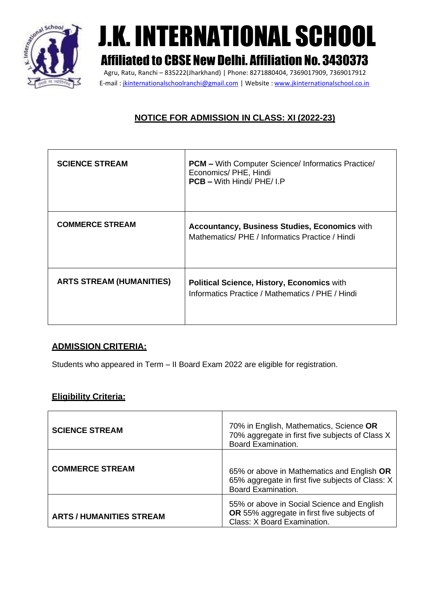

# J.K. INTERNATIONAL SCHOOL

## Affiliated to CBSE NewDelhi. Affiliation No. 3430373

Agru, Ratu, Ranchi – 835222(Jharkhand) | Phone: 8271880404, 7369017909, 7369017912 E-mail : [jkinternationalschoolranchi@gmail.com](mailto:jkinternationalschoolranchi@gmail.com) | Website : [www.jkinternationalschool.co.in](http://www.jkinternationalschool.co.in/)

### **NOTICE FOR ADMISSION IN CLASS: XI (2022-23)**

| <b>SCIENCE STREAM</b>           | <b>PCM</b> – With Computer Science/ Informatics Practice/<br>Economics/ PHE, Hindi<br>PCB - With Hindi/ PHE/ I.P |
|---------------------------------|------------------------------------------------------------------------------------------------------------------|
| <b>COMMERCE STREAM</b>          | <b>Accountancy, Business Studies, Economics with</b><br>Mathematics/PHE / Informatics Practice / Hindi           |
| <b>ARTS STREAM (HUMANITIES)</b> | <b>Political Science, History, Economics with</b><br>Informatics Practice / Mathematics / PHE / Hindi            |

#### **ADMISSION CRITERIA:**

Students who appeared in Term – II Board Exam 2022 are eligible for registration.

#### **Eligibility Criteria:**

| <b>SCIENCE STREAM</b>           | 70% in English, Mathematics, Science OR<br>70% aggregate in first five subjects of Class X<br><b>Board Examination.</b>     |
|---------------------------------|-----------------------------------------------------------------------------------------------------------------------------|
| <b>COMMERCE STREAM</b>          | 65% or above in Mathematics and English OR<br>65% aggregate in first five subjects of Class: X<br><b>Board Examination.</b> |
| <b>ARTS / HUMANITIES STREAM</b> | 55% or above in Social Science and English<br>OR 55% aggregate in first five subjects of<br>Class: X Board Examination.     |